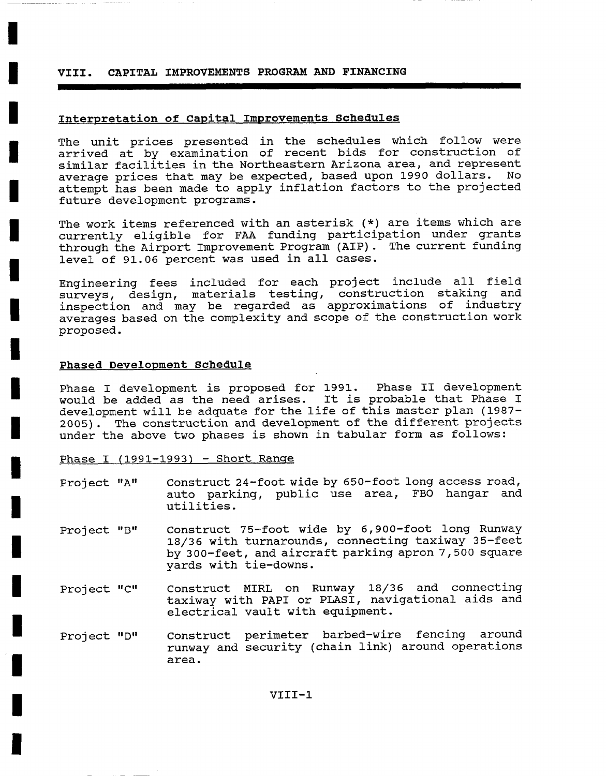#### **VIII. CAPITAL IMPROVEMENTS PROGRAM AND FINANCING**

### **Interpretation of capital Improvements Schedules**

The unit prices presented in the schedules which follow were arrived at by examination of recent bids for construction of similar facilities in the Northeastern Arizona area, and represent average prices that may be expected, based upon 1990 dollars. No attempt has been made to apply inflation factors to the projected future development programs.

The work items referenced with an asterisk (\*) are items which are currently eligible for FAA funding participation under grants through the Airport Improvement Program (AIP). The current funding level of 91.06 percent was used in all cases.

Engineering fees included for each project include all field surveys, design, materials testing, construction staking and inspection and may be regarded as approximations of industry averages based on the complexity and scope of the construction work proposed.

#### **Phased Development Schedule**

**!** 

Phase I development is proposed for 1991. Phase II development would be added as the need arises. It is probable that Phase I development will be adquate for the life of this master plan (1987- 2005). The construction and development of the different projects under the above two phases is shown in tabular form as follows:

Phase I (1991-1993) - Short Range

- Project "A" Construct 24-foot wide by 650-foot long access road, auto parking, public use area, FBO hangar and utilities.
- Project "B" Construct 75-foot wide by 6,900-foot long Runway 18/36 with turnarounds, connecting taxiway 35-feet by 300-feet, and aircraft parking apron 7,500 square yards with tie-downs.
- Project "C" Construct MIRL on Runway 18/36 and connecting taxiway with PAPI or PLASI, navigational aids and electrical vault with equipment.
- Project "D" Construct perimeter barbed-wire fencing around runway and security (chain link) around operations area.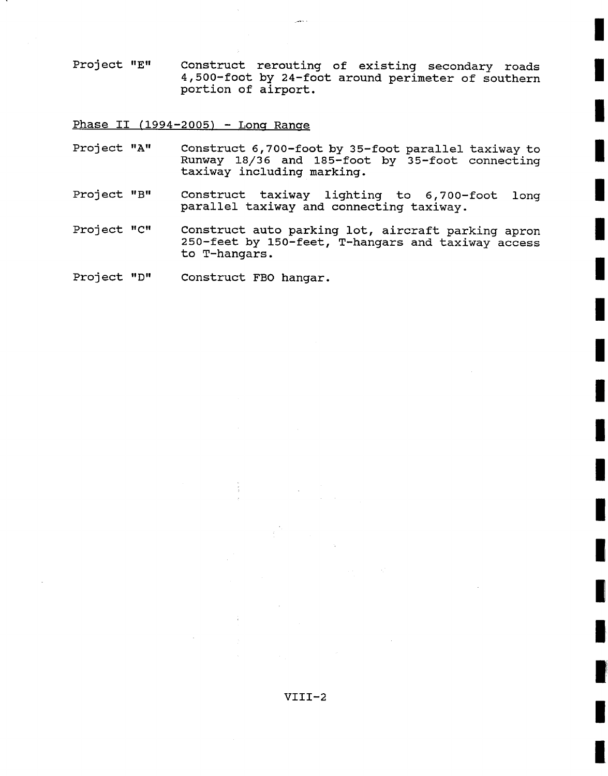Project "E" Construct rerouting of existing secondary roads 4,500-foot by 24-foot around perimeter of southern portion of airport.

Phase II (1994-2005) - Long Range

- Project "A" Construct 6,700-foot by 35-foot parallel taxiway to Runway 18/36 and 185-foot by 35-foot connecting taxiway including marking.
- Project "B" Construct taxiway lighting to 6,700-foot long parallel taxiway and connecting taxiway.

Project "C" Construct auto parking lot, aircraft parking apron 250-feet by 150-feet, T-hangars and taxiway access to T-hangars.

Project "D" Construct FBO hangar.

**!**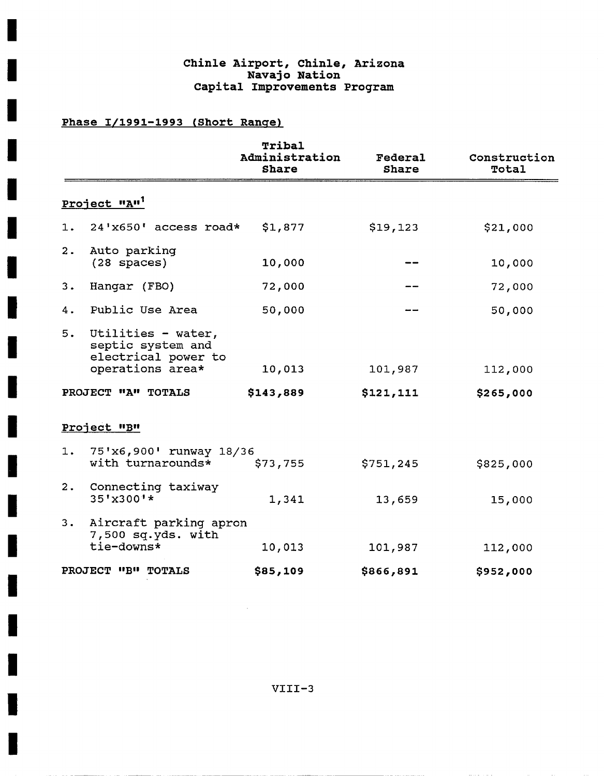# **Chinle Airport, Chinle, Arizona Navajo Nation Capital Improvements Program**

# **Phase 1/1991-1993 (Short Range)**

I

H

H

I

I

H

|    |                                                                                    | Tribal<br>Administration<br><b>Share</b> | Federal<br>Share | Construction<br>Total |  |
|----|------------------------------------------------------------------------------------|------------------------------------------|------------------|-----------------------|--|
|    | Project "A" <sup>1</sup>                                                           |                                          |                  |                       |  |
| 1. | $24'$ x650' access road*                                                           | \$1,877                                  | \$19,123         | \$21,000              |  |
| 2. | Auto parking<br>$(28$ spaces)                                                      | 10,000                                   |                  | 10,000                |  |
| 3. | Hangar (FBO)                                                                       | 72,000                                   |                  | 72,000                |  |
| 4. | Public Use Area                                                                    | 50,000                                   |                  | 50,000                |  |
| 5. | Utilities - water,<br>septic system and<br>electrical power to<br>operations area* | 10,013                                   | 101,987          | 112,000               |  |
|    | PROJECT "A" TOTALS                                                                 | \$143,889                                | \$121,111        | \$265,000             |  |
|    | Project "B"                                                                        |                                          |                  |                       |  |
| 1. | 75'x6,900' runway 18/36<br>with turnarounds*                                       | \$73,755                                 | \$751, 245       | \$825,000             |  |
| 2. | Connecting taxiway<br>35'x300'*                                                    | 1,341                                    | 13,659           | 15,000                |  |
| 3. | Aircraft parking apron<br>7,500 sq.yds. with                                       |                                          |                  |                       |  |
|    | tie-downs*                                                                         | 10,013                                   | 101,987          | 112,000               |  |
|    | PROJECT "B" TOTALS                                                                 | \$85,109                                 | \$866,891        | \$952,000             |  |

VIII-3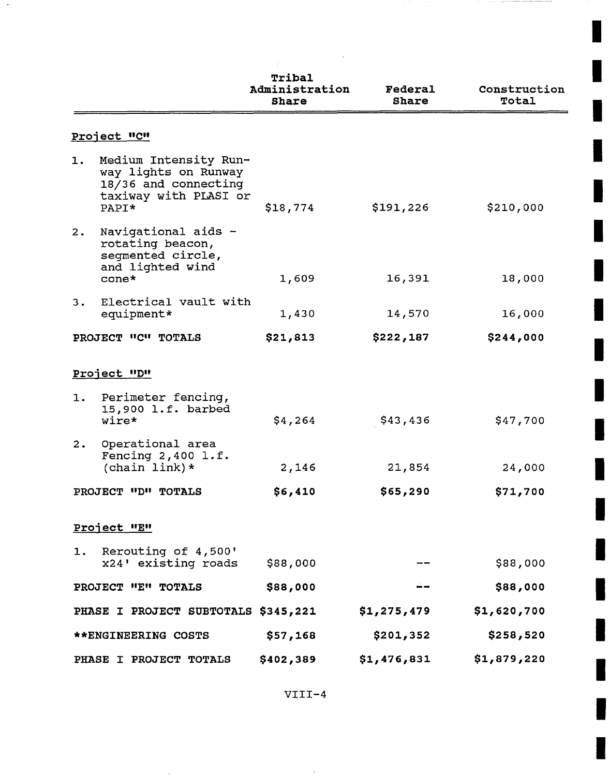|    |                                                                                                         | Tribal<br>Administration<br><b>Share</b> | Federal<br><b>Share</b> | Construction<br>Total |
|----|---------------------------------------------------------------------------------------------------------|------------------------------------------|-------------------------|-----------------------|
|    | <u>Project "C"</u>                                                                                      |                                          |                         |                       |
| 1. | Medium Intensity Run-<br>way lights on Runway<br>18/36 and connecting<br>taxiway with PLASI or<br>PAPI* | \$18,774                                 | \$191,226               | \$210,000             |
| 2. | Navigational aids -<br>rotating beacon,<br>seqmented circle,<br>and lighted wind                        |                                          |                         |                       |
|    | $cone*$                                                                                                 | 1,609                                    | 16,391                  | 18,000                |
| з. | Electrical vault with<br>equipment*                                                                     | 1,430                                    | 14,570                  | 16,000                |
|    | PROJECT "C" TOTALS                                                                                      | \$21,813                                 | \$222,187               | \$244,000             |
|    | Project "D"<br>1. Perimeter fencing,                                                                    |                                          |                         |                       |
|    | 15,900 l.f. barbed<br>wire*                                                                             | \$4,264                                  | \$43,436                | \$47,700              |
| 2. | Operational area<br>Fencing $2,400$ l.f.<br>(chain link) $*$                                            | 2,146                                    | 21,854                  | 24,000                |
|    | PROJECT "D" TOTALS                                                                                      | \$6,410                                  | \$65,290                | \$71,700              |
|    | Project "E"                                                                                             |                                          |                         |                       |
| 1. | Rerouting of 4,500'<br>x24' existing roads                                                              | \$88,000                                 |                         | \$88,000              |
|    | PROJECT "E" TOTALS                                                                                      | \$88,000                                 |                         | \$88,000              |
|    | PHASE I PROJECT SUBTOTALS \$345,221                                                                     |                                          | \$1,275,479             | \$1,620,700           |
|    | **ENGINEERING COSTS                                                                                     | \$57,168                                 | \$201,352               | \$258,520             |
|    | PHASE I PROJECT TOTALS                                                                                  | \$402,389                                | \$1,476,831             | \$1,879,220           |

**I** 

**I** 

**!** 

**I** 

VIII-4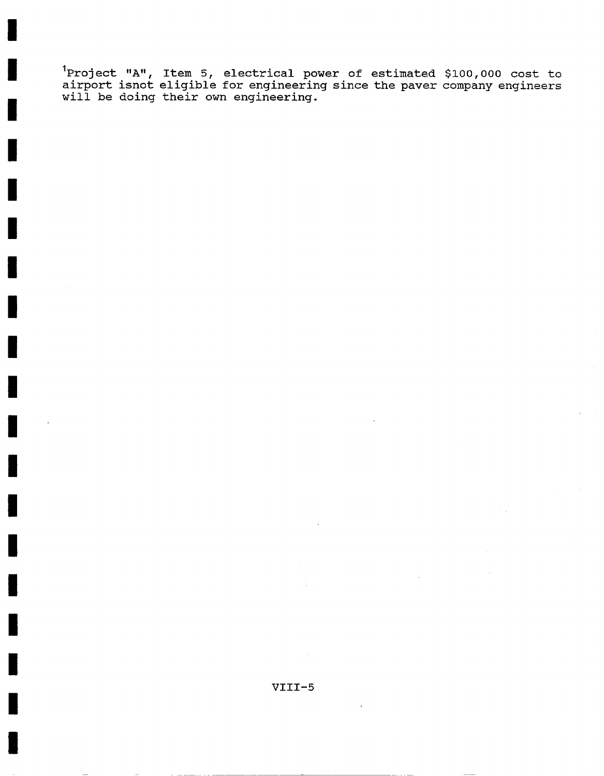Iproject "A", Item 5, electrical power of estimated \$i00,000 cost to airport isnot eligible for engineering since the paver company engineers will be doing their own engineering.

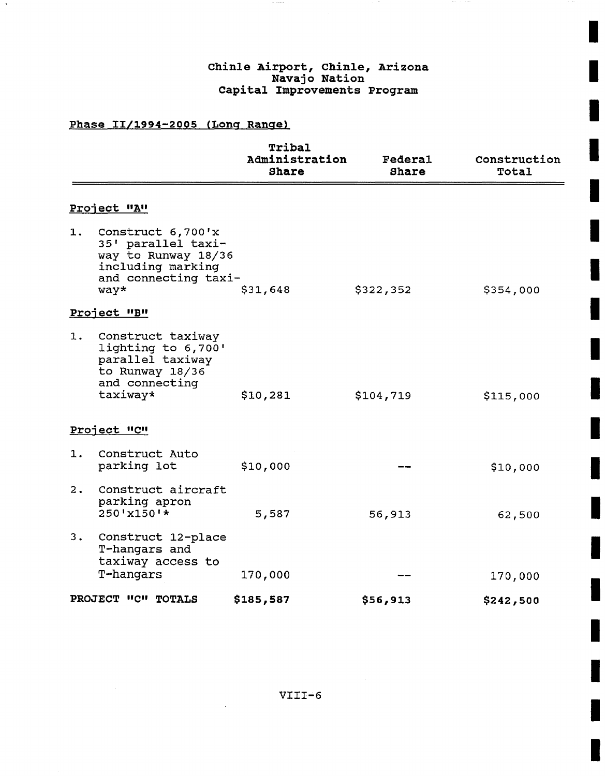## **chinle Airport, chinle, Arizona Navajo Nation Capital Improvements Program**

 $\mathbf{r}$ 

# **Phase II/1994-2005 (Lonq Ranqe)**

| Tribal<br>Administration<br>Share | <b>Federal</b><br>Share | Construction<br>Total |
|-----------------------------------|-------------------------|-----------------------|
|                                   |                         |                       |
| and connecting taxi-<br>\$31,648  | \$322,352               | \$354,000             |
|                                   |                         |                       |
| \$10,281                          | \$104,719               | \$115,000             |
|                                   |                         |                       |
| \$10,000                          |                         | \$10,000              |
| 5,587                             | 56,913                  | 62,500                |
|                                   |                         |                       |
|                                   |                         | 170,000<br>\$242,500  |
|                                   | 170,000<br>\$185,587    | \$56,913              |

VIII'6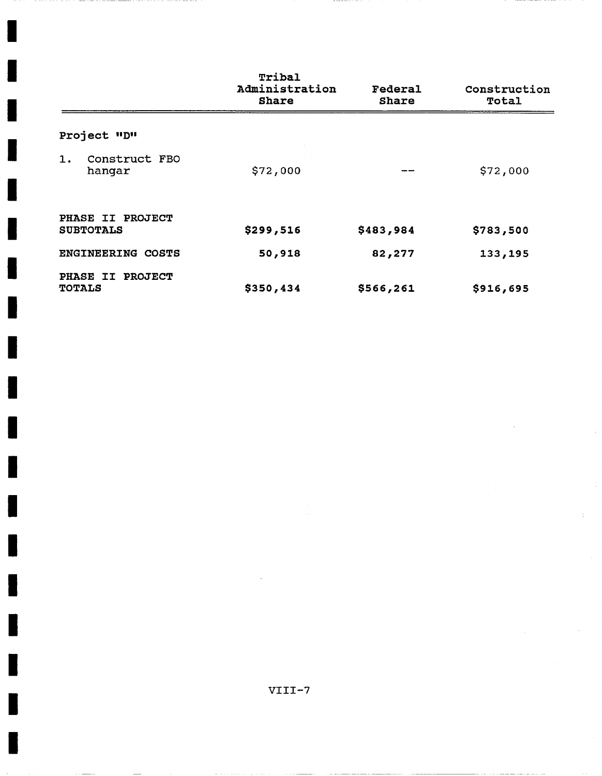|                          |                         | Tribal<br>Administration<br><b>Share</b> | Federal<br><b>Share</b> | Construction<br>Total |
|--------------------------|-------------------------|------------------------------------------|-------------------------|-----------------------|
| Project "D"              |                         |                                          |                         |                       |
| $\mathbf{1}$ .           | Construct FBO<br>hangar | \$72,000                                 |                         | \$72,000              |
| <b>SUBTOTALS</b>         | PHASE II PROJECT        | \$299,516                                | \$483,984               | \$783,500             |
| <b>ENGINEERING COSTS</b> |                         | 50,918                                   | 82,277                  | 133,195               |
| <b>TOTALS</b>            | PHASE II PROJECT        | \$350,434                                | \$566,261               | \$916,695             |

н

J

ı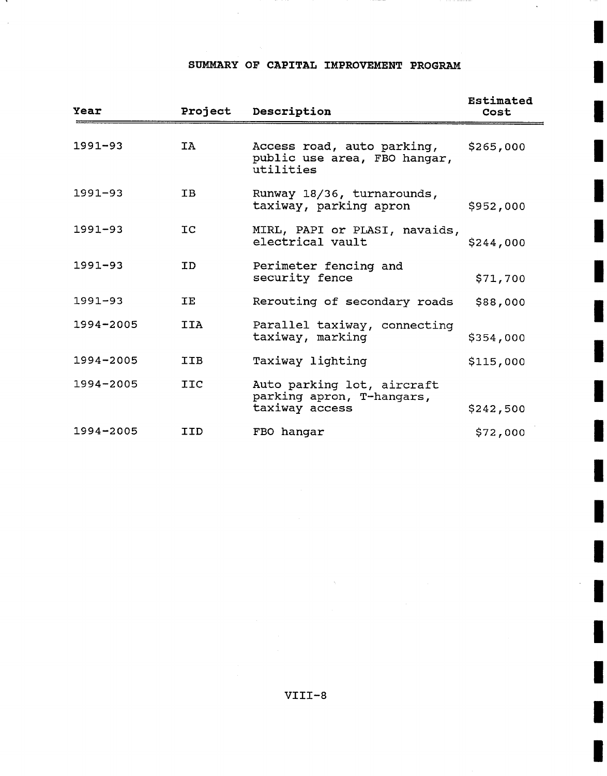# **SUMMARY OF CAPITAL IMPROVEMENT PROGRAM**

 $\bar{z}$ 

 $\ddot{\phantom{a}}$ 

| Year        | Project    | Description                                                               | Estimated<br>Cost |
|-------------|------------|---------------------------------------------------------------------------|-------------------|
| $1991 - 93$ | IA         | Access road, auto parking,<br>public use area, FBO hangar,<br>utilities   | \$265,000         |
| $1991 - 93$ | IB.        | Runway 18/36, turnarounds,<br>taxiway, parking apron                      | \$952,000         |
| $1991 - 93$ | <b>TC</b>  | MIRL, PAPI or PLASI, navaids,<br>electrical vault                         | \$244,000         |
| $1991 - 93$ | ID.        | Perimeter fencing and<br>security fence                                   | \$71,700          |
| $1991 - 93$ | TE.        | Rerouting of secondary roads                                              | \$88,000          |
| 1994-2005   | <b>IIA</b> | Parallel taxiway, connecting<br>taxiway, marking                          | \$354,000         |
| 1994-2005   | <b>IIB</b> | Taxiway lighting                                                          | \$115,000         |
| 1994-2005   | <b>IIC</b> | Auto parking lot, aircraft<br>parking apron, T-hangars,<br>taxiway access | \$242,500         |
| 1994-2005   | IID        | FBO hangar                                                                | \$72,000          |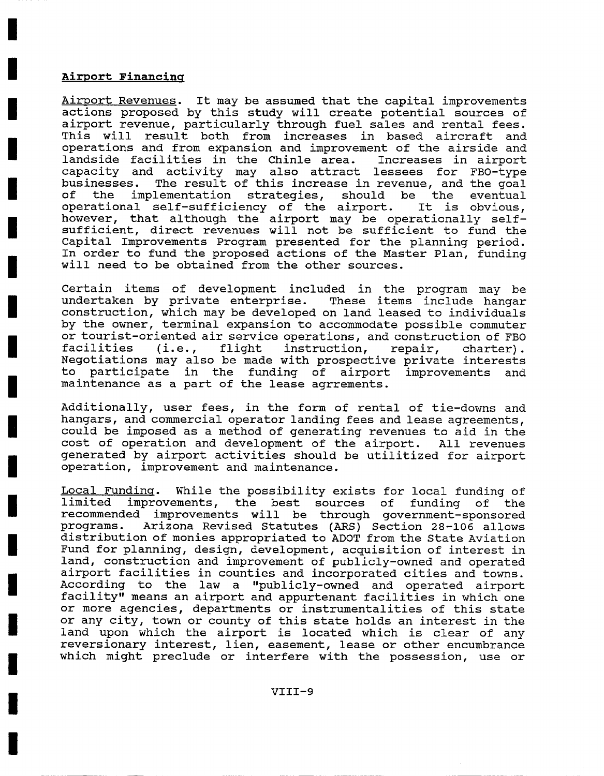## **Airport Financinq**

Airport Revenues. It may be assumed that the capital improvements actions proposed by this study will create potential sources of airport revenue, particularly through fuel sales and rental fees. This will result both from increases in based aircraft and operations and from expansion and improvement of the airside and landside facilities in the Chinle area. Increases in airport capacity and activity may also attract lessees for FBO-type businesses. The result of this increase in revenue, and the goal of the implementation strategies, should be the eventual operational self-sufficiency of the airport. It is obvious, however, that although the airport may be operationally selfsufficient, direct revenues will not be sufficient to fund the Capital Improvements Program presented for the planning period. In order to fund the proposed actions of the Master Plan, funding will need to be obtained from the other sources.

Certain items of development included in the program may be undertaken by private enterprise. These items include hangar construction, which may be developed on land leased to individuals by the owner, terminal expansion to accommodate possible commuter or tourist-oriented air service operations, and construction of FBO facilities (i.e., flight instruction, repair, charter). Negotiations may also be made with prospective private interests<br>to participate in the funding of airport improvements and to participate in the funding of airport improvements and maintenance as a part of the lease agrrements.

Additionally, user fees, in the form of rental of tie-downs and hangars, and commercial operator landing fees and lease agreements, could be imposed as a method of generating revenues to aid in the cost of operation and development of the airport. All revenues generated by airport activities should be utilitized for airport operation, improvement and maintenance.

Local Fundinq. While the possibility exists for local funding of limited improvements, the best sources of funding of the recommended improvements will be through government-sponsored programs. Arizona Revised Statutes (ARS) Section 28-106 allows distribution of monies appropriated to ADOT from the State Aviation Fund for planning, design, development, acquisition of interest in land, construction and improvement of publicly-owned and operated airport facilities in counties and incorporated cities and towns. According to the law a "publicly-owned and operated airport facility" means an airport and appurtenant facilities in which one or more agencies, departments or instrumentalities of this state or any city, town or county of this state holds an interest in the land upon which the airport is located which is clear of any reversionary interest, lien, easement, lease or other encumbrance which might preclude or interfere with the possession, use or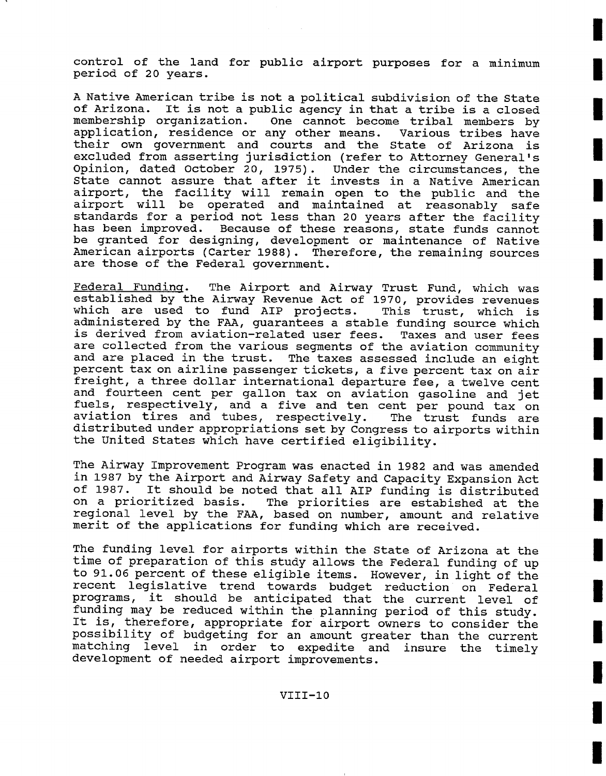control of the land for public airport purposes for a minimum period of 20 years.

A Native American tribe is not a political subdivision of the State of Arizona. It is not a public agency in that a tribe is a closed membership organization. One cannot become tribal members by application, residence or any other means. Various tribes have their own government and courts and the State of Arizona is excluded from asserting jurisdiction (refer to Attorney General's Opinion, dated October 20, 1975). Under the circumstances, the State cannot assure that after it invests in a Native American airport, the facility will remain open to the public and the airport will be operated and maintained at reasonably safe standards for a period not less than 20 years after the facility has been improved. Because of these reasons, state funds cannot be granted for designing, development or maintenance of Native American airports (Carter 1988). Therefore, the remaining sources are those of the Federal government.

Federal Funding. The Airport and Airway Trust Fund, which was established by the Airway Revenue Act of 1970, provides revenues which are used to fund AIP projects. This trust, which is administered by the FAA, guarantees a stable funding source which is derived from aviation-related user fees. Taxes and user fees are collected from the various segments of the aviation community and are placed in the trust. The taxes assessed include an eight percent tax on airline passenger tickets, a five percent tax on air freight, a three dollar international departure fee, a twelve cent and fourteen cent per gallon tax on aviation gasoline and jet fuels, respectively, and a five and ten cent per pound tax on aviation tires and tubes, respectively. The trust funds are distributed under appropriations set by Congress to airports within the United States which have certified eligibility.

The Airway Improvement Program was enacted in 1982 and was amended in 1987 by the Airport and Airway Safety and Capacity Expansion Act of 1987. It should be noted that all AIP funding is distributed<br>on a prioritized basis. The priorities are estabished at the The priorities are estabished at the regional level by the FAA, based on number, amount and relative merit of the applications for funding which are received.

The funding level for airports within the State of Arizona at the time of preparation of this study allows the Federal funding of up to 91.06 percent of these eligible items. However, in light of the recent legislative trend towards budget reduction on Federal programs, it should be anticipated that the current level of funding may be reduced within the planning period of this study. It is, therefore, appropriate for airport owners to consider the possibility of budgeting for an amount greater than the current matching level in order to expedite and insure the timely development of needed airport improvements.